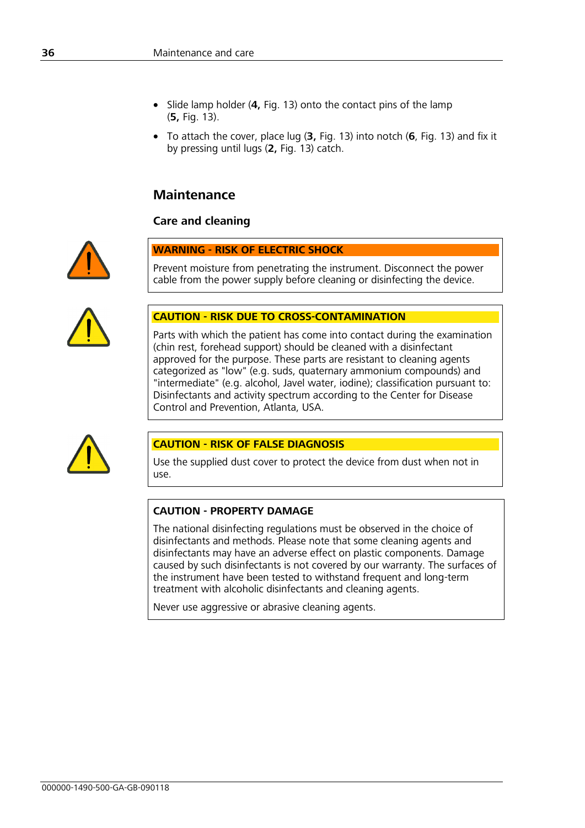- Slide lamp holder (**4,** Fig. 13) onto the contact pins of the lamp (**5,** Fig. 13).
- To attach the cover, place lug (**3,** Fig. 13) into notch (**6**, Fig. 13) and fix it by pressing until lugs (**2,** Fig. 13) catch.

## **Maintenance**

## **Care and cleaning**



#### **WARNING - RISK OF ELECTRIC SHOCK**

Prevent moisture from penetrating the instrument. Disconnect the power cable from the power supply before cleaning or disinfecting the device.



#### **CAUTION - RISK DUE TO CROSS-CONTAMINATION**

Parts with which the patient has come into contact during the examination (chin rest, forehead support) should be cleaned with a disinfectant approved for the purpose. These parts are resistant to cleaning agents categorized as "low" (e.g. suds, quaternary ammonium compounds) and "intermediate" (e.g. alcohol, Javel water, iodine); classification pursuant to: Disinfectants and activity spectrum according to the Center for Disease Control and Prevention, Atlanta, USA.



## **CAUTION - RISK OF FALSE DIAGNOSIS**

Use the supplied dust cover to protect the device from dust when not in use.

#### **CAUTION - PROPERTY DAMAGE**

The national disinfecting regulations must be observed in the choice of disinfectants and methods. Please note that some cleaning agents and disinfectants may have an adverse effect on plastic components. Damage caused by such disinfectants is not covered by our warranty. The surfaces of the instrument have been tested to withstand frequent and long-term treatment with alcoholic disinfectants and cleaning agents.

Never use aggressive or abrasive cleaning agents.